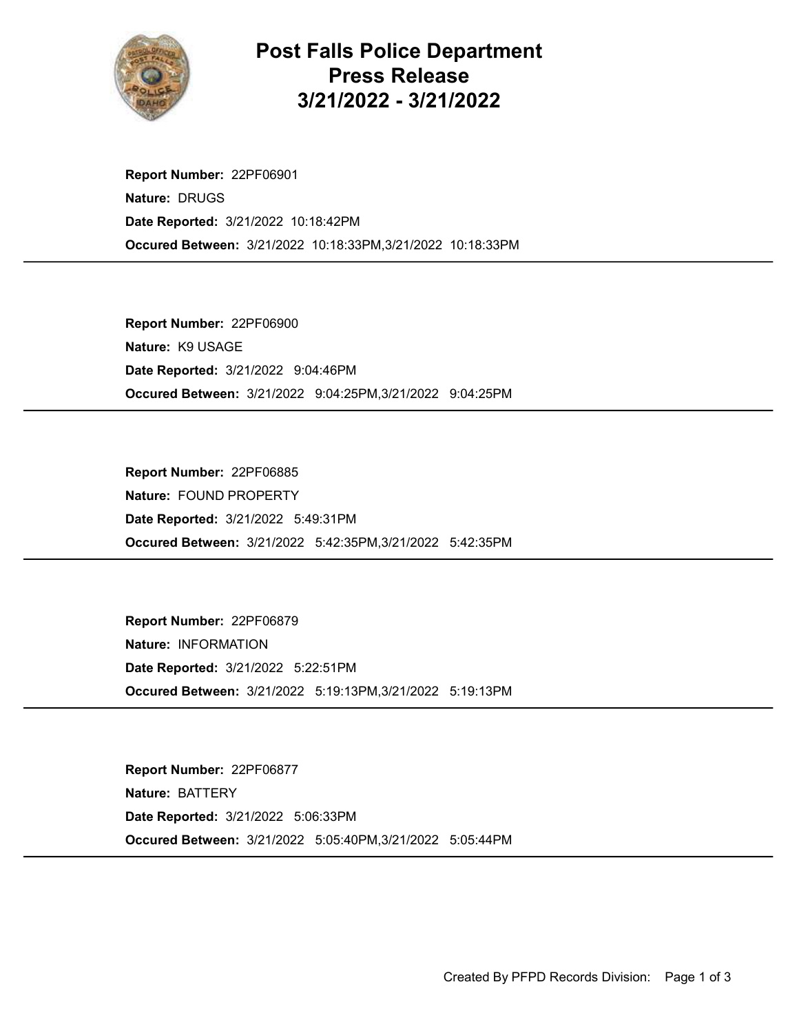

## Post Falls Police Department Press Release 3/21/2022 - 3/21/2022

Occured Between: 3/21/2022 10:18:33PM,3/21/2022 10:18:33PM Report Number: 22PF06901 Nature: DRUGS Date Reported: 3/21/2022 10:18:42PM

Occured Between: 3/21/2022 9:04:25PM,3/21/2022 9:04:25PM Report Number: 22PF06900 Nature: K9 USAGE Date Reported: 3/21/2022 9:04:46PM

Occured Between: 3/21/2022 5:42:35PM,3/21/2022 5:42:35PM Report Number: 22PF06885 Nature: FOUND PROPERTY Date Reported: 3/21/2022 5:49:31PM

Occured Between: 3/21/2022 5:19:13PM,3/21/2022 5:19:13PM Report Number: 22PF06879 Nature: INFORMATION Date Reported: 3/21/2022 5:22:51PM

Occured Between: 3/21/2022 5:05:40PM,3/21/2022 5:05:44PM Report Number: 22PF06877 Nature: BATTERY Date Reported: 3/21/2022 5:06:33PM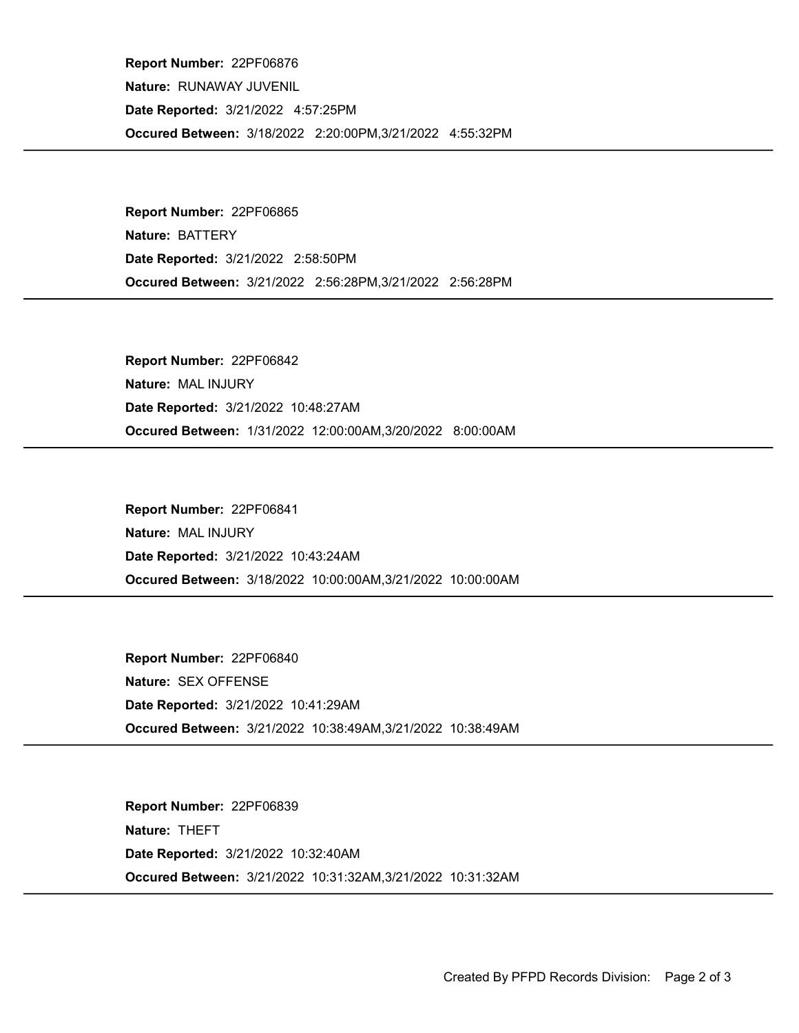Occured Between: 3/18/2022 2:20:00PM,3/21/2022 4:55:32PM Report Number: 22PF06876 Nature: RUNAWAY JUVENIL Date Reported: 3/21/2022 4:57:25PM

Occured Between: 3/21/2022 2:56:28PM,3/21/2022 2:56:28PM Report Number: 22PF06865 Nature: BATTERY Date Reported: 3/21/2022 2:58:50PM

Occured Between: 1/31/2022 12:00:00AM,3/20/2022 8:00:00AM Report Number: 22PF06842 Nature: MAL INJURY Date Reported: 3/21/2022 10:48:27AM

Occured Between: 3/18/2022 10:00:00AM,3/21/2022 10:00:00AM Report Number: 22PF06841 Nature: MAL INJURY Date Reported: 3/21/2022 10:43:24AM

Occured Between: 3/21/2022 10:38:49AM,3/21/2022 10:38:49AM Report Number: 22PF06840 Nature: SEX OFFENSE Date Reported: 3/21/2022 10:41:29AM

Occured Between: 3/21/2022 10:31:32AM,3/21/2022 10:31:32AM Report Number: 22PF06839 Nature: THEFT Date Reported: 3/21/2022 10:32:40AM